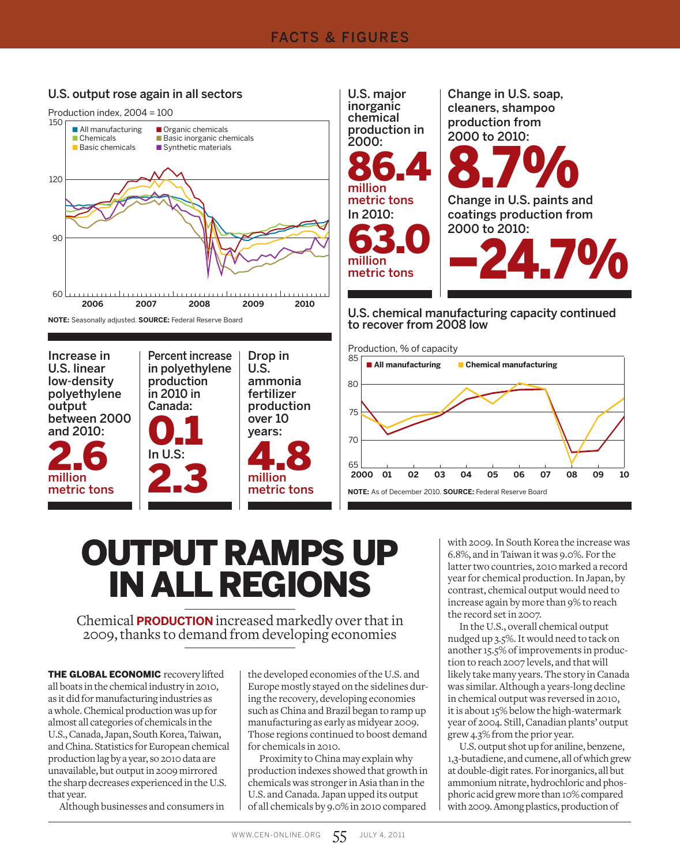#### U.S. output rose again in all sectors



U.S. major inorganic chemical production in 2000: 86.4 million metric tons In 2010: 63.0 million metric tons

Change in U.S. soap, cleaners, shampoo production from 2000 to 2010:

8.7% Change in U.S. paints and coatings production from 2000 to 2010: –24.7%

U.S. chemical manufacturing capacity continued to recover from 2008 low





# OUTPUT RAMPS UP IN ALL REGIONS

Chemical **PRODUCTION** increased markedly over that in 2009, thanks to demand from developing economies

THE GLOBAL ECONOMIC recovery lifted all boats in the chemical industry in 2010, as it did for manufacturing industries as a whole. Chemical production was up for almost all categories of chemicals in the U.S., Canada, Japan, South Korea, Taiwan, and China. Statistics for European chemical production lag by a year, so 2010 data are unavailable, but output in 2009 mirrored the sharp decreases experienced in the U.S. that year.

Although businesses and consumers in

the developed economies of the U.S. and Europe mostly stayed on the sidelines during the recovery, developing economies such as China and Brazil began to ramp up manufacturing as early as midyear 2009. Those regions continued to boost demand for chemicals in 2010.

Proximity to China may explain why production indexes showed that growth in chemicals was stronger in Asia than in the U.S. and Canada. Japan upped its output of all chemicals by 9.0% in 2010 compared

with 2009. In South Korea the increase was 6.8%, and in Taiwan it was 9.0%. For the latter two countries, 2010 marked a record year for chemical production. In Japan, by contrast, chemical output would need to increase again by more than 9% to reach the record set in 2007.

In the U.S., overall chemical output nudged up 3.5%. It would need to tack on another 15.5% of improvements in production to reach 2007 levels, and that will likely take many years. The story in Canada was similar. Although a years-long decline in chemical output was reversed in 2010, it is about 15% below the high-watermark year of 2004. Still, Canadian plants' output grew 4.3% from the prior year.

U.S. output shot up for aniline, benzene, 1,3-butadiene, and cumene, all of which grew at double-digit rates. For inorganics, all but ammonium nitrate, hydrochloric and phosphoric acid grew more than 10% compared with 2009. Among plastics, production of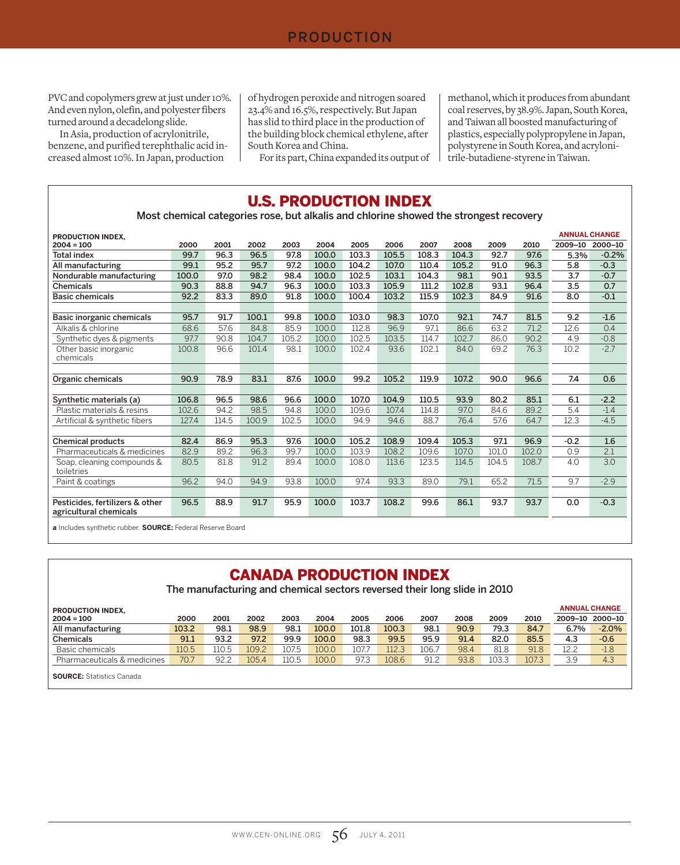PVC and copolymers grew at just under 10%. And even nylon, olefin, and polyester fibers turned around a decadelong slide.

In Asia, production of acrylonitrile, benzene, and purified terephthalic acid increased almost 10%. In Japan, production

of hydrogen peroxide and nitrogen soared 23.4% and 16.5%, respectively. But Japan has slid to third place in the production of the building block chemical ethylene, after South Korea and China.

For its part, China expanded its output of

methanol, which it produces from abundant coal reserves, by 38.9%. Japan, South Korea, and Taiwan all boosted manufacturing of plastics, especially polypropylene in Japan, polystyrene in South Korea, and acrylonitrile-butadiene-styrene in Taiwan.

| <b>U.S. PRODUCTION INDEX</b>                              |                                                                                       |       |       |       |       |       |       |       |       |       |       |         |                      |
|-----------------------------------------------------------|---------------------------------------------------------------------------------------|-------|-------|-------|-------|-------|-------|-------|-------|-------|-------|---------|----------------------|
|                                                           | Most chemical categories rose, but alkalis and chlorine showed the strongest recovery |       |       |       |       |       |       |       |       |       |       |         |                      |
| PRODUCTION INDEX.                                         |                                                                                       |       |       |       |       |       |       |       |       |       |       |         | <b>ANNUAL CHANGE</b> |
| $2004 = 100$                                              | 2000                                                                                  | 2001  | 2002  | 2003  | 2004  | 2005  | 2006  | 2007  | 2008  | 2009  | 2010  | 2009-10 | 2000-10              |
| <b>Total index</b>                                        | 99.7                                                                                  | 96.3  | 96.5  | 97.8  | 100.0 | 103.3 | 105.5 | 108.3 | 104.3 | 92.7  | 97.6  | 5.3%    | $-0.2%$              |
| All manufacturing                                         | 99.1                                                                                  | 95.2  | 95.7  | 97.2  | 100.0 | 104.2 | 107.0 | 110.4 | 105.2 | 91.0  | 96.3  | 5.8     | $-0.3$               |
| Nondurable manufacturing                                  | 100.0                                                                                 | 97.0  | 98.2  | 98.4  | 100.0 | 102.5 | 103.1 | 104.3 | 98.1  | 90.1  | 93.5  | 3.7     | $-0.7$               |
| <b>Chemicals</b>                                          | 90.3                                                                                  | 88.8  | 94.7  | 96.3  | 100.0 | 103.3 | 105.9 | 111.2 | 102.8 | 93.1  | 96.4  | 3.5     | 0.7                  |
| <b>Basic chemicals</b>                                    | 92.2                                                                                  | 83.3  | 89.0  | 91.8  | 100.0 | 100.4 | 103.2 | 115.9 | 102.3 | 84.9  | 91.6  | 8.0     | $-0.1$               |
|                                                           |                                                                                       |       |       |       |       |       |       |       |       |       |       |         |                      |
| Basic inorganic chemicals                                 | 95.7                                                                                  | 91.7  | 100.1 | 99.8  | 100.0 | 103.0 | 98.3  | 107.0 | 92.1  | 74.7  | 81.5  | 9.2     | $-1.6$               |
| Alkalis & chlorine                                        | 68.6                                                                                  | 57.6  | 84.8  | 85.9  | 100.0 | 112.8 | 96.9  | 97.1  | 86.6  | 63.2  | 71.2  | 12.6    | 0.4                  |
| Synthetic dyes & pigments                                 | 97.7                                                                                  | 90.8  | 104.7 | 105.2 | 100.0 | 102.5 | 103.5 | 114.7 | 102.7 | 86.0  | 90.2  | 4.9     | $-0.8$               |
| Other basic inorganic                                     | 100.8                                                                                 | 96.6  | 101.4 | 98.1  | 100.0 | 102.4 | 93.6  | 102.1 | 84.0  | 69.2  | 76.3  | 10.2    | $-2.7$               |
| chemicals                                                 |                                                                                       |       |       |       |       |       |       |       |       |       |       |         |                      |
|                                                           |                                                                                       |       |       |       |       |       |       |       |       |       |       |         |                      |
| Organic chemicals                                         | 90.9                                                                                  | 78.9  | 83.1  | 87.6  | 100.0 | 99.2  | 105.2 | 119.9 | 107.2 | 90.0  | 96.6  | 7.4     | 0.6                  |
|                                                           |                                                                                       |       |       |       |       |       |       |       |       |       |       |         |                      |
| Synthetic materials (a)                                   | 106.8                                                                                 | 96.5  | 98.6  | 96.6  | 100.0 | 107.0 | 104.9 | 110.5 | 93.9  | 80.2  | 85.1  | 6.1     | $-2.2$               |
| Plastic materials & resins                                | 102.6                                                                                 | 94.2  | 98.5  | 94.8  | 100.0 | 109.6 | 107.4 | 114.8 | 97.0  | 84.6  | 89.2  | 5.4     | $-1.4$               |
| Artificial & synthetic fibers                             | 127.4                                                                                 | 114.5 | 100.9 | 102.5 | 100.0 | 94.9  | 94.6  | 88.7  | 76.4  | 57.6  | 64.7  | 12.3    | $-4.5$               |
|                                                           |                                                                                       |       |       |       |       |       |       |       |       |       |       |         |                      |
| <b>Chemical products</b>                                  | 82.4                                                                                  | 86.9  | 95.3  | 97.6  | 100.0 | 105.2 | 108.9 | 109.4 | 105.3 | 97.1  | 96.9  | $-0.2$  | 1.6                  |
| Pharmaceuticals & medicines                               | 82.9                                                                                  | 89.2  | 96.3  | 99.7  | 100.0 | 103.9 | 108.2 | 109.6 | 107.0 | 101.0 | 102.0 | 0.9     | 2.1                  |
| Soap, cleaning compounds &<br>toiletries                  | 80.5                                                                                  | 81.8  | 91.2  | 89.4  | 100.0 | 108.0 | 113.6 | 123.5 | 114.5 | 104.5 | 108.7 | 4.0     | 3.0                  |
| Paint & coatings                                          | 96.2                                                                                  | 94.0  | 94.9  | 93.8  | 100.0 | 97.4  | 93.3  | 89.0  | 79.1  | 65.2  | 71.5  | 9.7     | $-2.9$               |
|                                                           |                                                                                       |       |       |       |       |       |       |       |       |       |       |         |                      |
| Pesticides, fertilizers & other<br>agricultural chemicals | 96.5                                                                                  | 88.9  | 91.7  | 95.9  | 100.0 | 103.7 | 108.2 | 99.6  | 86.1  | 93.7  | 93.7  | 0.0     | $-0.3$               |

**a** Includes synthetic rubber. **SOURCE:** Federal Reserve Board

#### CANADA PRODUCTION INDEX

The manufacturing and chemical sectors reversed their long slide in 2010

| <b>PRODUCTION INDEX.</b>        |       |       |       |       |       |       |       |       |      |       |       |      | <b>ANNUAL CHANGE</b> |
|---------------------------------|-------|-------|-------|-------|-------|-------|-------|-------|------|-------|-------|------|----------------------|
| $2004 = 100$                    | 2000  | 2001  | 2002  | 2003  | 2004  | 2005  | 2006  | 2007  | 2008 | 2009  | 2010  |      | 2009-10 2000-10      |
| All manufacturing               | 103.2 | 98.1  | 98.9  | 98.1  | 100.0 | 101.8 | 100.3 | 98.1  | 90.9 | 79.3  | 84.7  | 6.7% | $-2.0%$              |
| Chemicals                       | 91.1  | 93.2  | 97.2  | 99.9  | 100.0 | 98.3  | 99.5  | 95.9  | 91.4 | 82.0  | 85.5  | 4.3  | $-0.6$               |
| Basic chemicals                 | 110.5 | 110.5 | 109.2 | 107.5 | 100.0 | 107.7 | 112.3 | 106.7 | 98.4 | 81.8  | 91.8  | 12.2 | $-1.8$               |
| Pharmaceuticals & medicines     | 70.7  | 92.2  | 105.4 | 110.5 | 100.0 | 97.3  | 108.6 | 91.2  | 93.8 | 103.3 | 107.3 | 3.9  | 4.3                  |
| <b>COURSE, CLASSICS OVERFLI</b> |       |       |       |       |       |       |       |       |      |       |       |      |                      |

**URCE:** Statistics Canada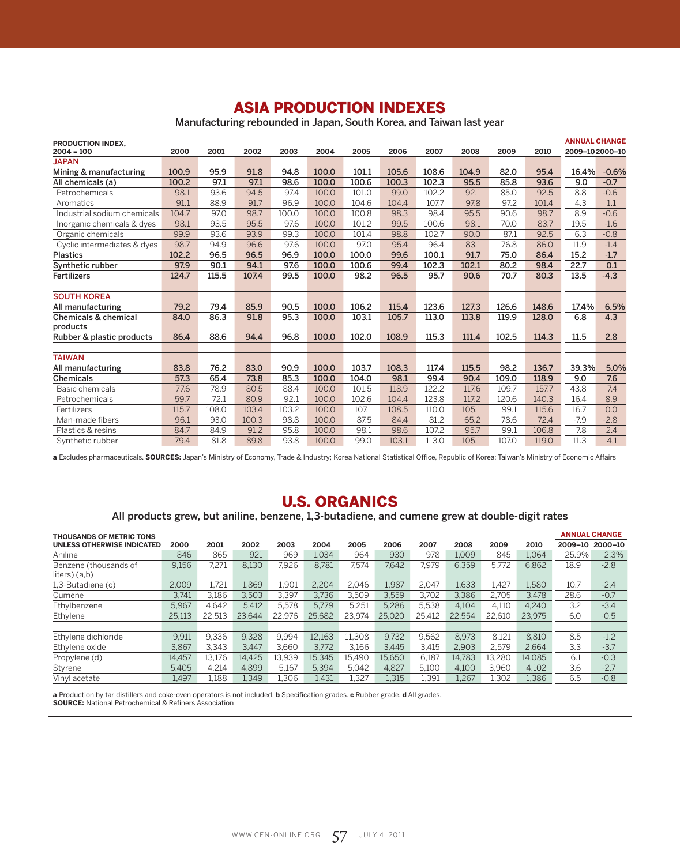## ASIA PRODUCTION INDEXES

Manufacturing rebounded in Japan, South Korea, and Taiwan last year

| PRODUCTION INDEX.               |       |       |       |       |       |       |       |       |       |       |       | <b>ANNUAL CHANGE</b> |         |
|---------------------------------|-------|-------|-------|-------|-------|-------|-------|-------|-------|-------|-------|----------------------|---------|
| $2004 = 100$                    | 2000  | 2001  | 2002  | 2003  | 2004  | 2005  | 2006  | 2007  | 2008  | 2009  | 2010  | 2009-102000-10       |         |
| <b>JAPAN</b>                    |       |       |       |       |       |       |       |       |       |       |       |                      |         |
| Mining & manufacturing          | 100.9 | 95.9  | 91.8  | 94.8  | 100.0 | 101.1 | 105.6 | 108.6 | 104.9 | 82.0  | 95.4  | 16.4%                | $-0.6%$ |
| All chemicals (a)               | 100.2 | 97.1  | 97.1  | 98.6  | 100.0 | 100.6 | 100.3 | 102.3 | 95.5  | 85.8  | 93.6  | 9.0                  | $-0.7$  |
| Petrochemicals                  | 98.1  | 93.6  | 94.5  | 97.4  | 100.0 | 101.0 | 99.0  | 102.2 | 92.1  | 85.0  | 92.5  | 8.8                  | $-0.6$  |
| Aromatics                       | 91.1  | 88.9  | 91.7  | 96.9  | 100.0 | 104.6 | 104.4 | 107.7 | 97.8  | 97.2  | 101.4 | 4.3                  | 1.1     |
| Industrial sodium chemicals     | 104.7 | 97.0  | 98.7  | 100.0 | 100.0 | 100.8 | 98.3  | 98.4  | 95.5  | 90.6  | 98.7  | 8.9                  | $-0.6$  |
| Inorganic chemicals & dyes      | 98.1  | 93.5  | 95.5  | 97.6  | 100.0 | 101.2 | 99.5  | 100.6 | 98.1  | 70.0  | 83.7  | 19.5                 | $-1.6$  |
| Organic chemicals               | 99.9  | 93.6  | 93.9  | 99.3  | 100.0 | 101.4 | 98.8  | 102.7 | 90.0  | 87.1  | 92.5  | 6.3                  | $-0.8$  |
| Cyclic intermediates & dyes     | 98.7  | 94.9  | 96.6  | 97.6  | 100.0 | 97.0  | 95.4  | 96.4  | 83.1  | 76.8  | 86.0  | 11.9                 | $-1.4$  |
| <b>Plastics</b>                 | 102.2 | 96.5  | 96.5  | 96.9  | 100.0 | 100.0 | 99.6  | 100.1 | 91.7  | 75.0  | 86.4  | 15.2                 | $-1.7$  |
| Synthetic rubber                | 97.9  | 90.1  | 94.1  | 97.6  | 100.0 | 100.6 | 99.4  | 102.3 | 102.1 | 80.2  | 98.4  | 22.7                 | 0.1     |
| <b>Fertilizers</b>              | 124.7 | 115.5 | 107.4 | 99.5  | 100.0 | 98.2  | 96.5  | 95.7  | 90.6  | 70.7  | 80.3  | 13.5                 | $-4.3$  |
|                                 |       |       |       |       |       |       |       |       |       |       |       |                      |         |
| <b>SOUTH KOREA</b>              |       |       |       |       |       |       |       |       |       |       |       |                      |         |
| All manufacturing               | 79.2  | 79.4  | 85.9  | 90.5  | 100.0 | 106.2 | 115.4 | 123.6 | 127.3 | 126.6 | 148.6 | 17.4%                | 6.5%    |
| <b>Chemicals &amp; chemical</b> | 84.0  | 86.3  | 91.8  | 95.3  | 100.0 | 103.1 | 105.7 | 113.0 | 113.8 | 119.9 | 128.0 | 6.8                  | 4.3     |
| products                        |       |       |       |       |       |       |       |       |       |       |       |                      |         |
| Rubber & plastic products       | 86.4  | 88.6  | 94.4  | 96.8  | 100.0 | 102.0 | 108.9 | 115.3 | 111.4 | 102.5 | 114.3 | 11.5                 | 2.8     |
|                                 |       |       |       |       |       |       |       |       |       |       |       |                      |         |
| <b>TAIWAN</b>                   |       |       |       |       |       |       |       |       |       |       |       |                      |         |
| All manufacturing               | 83.8  | 76.2  | 83.0  | 90.9  | 100.0 | 103.7 | 108.3 | 117.4 | 115.5 | 98.2  | 136.7 | 39.3%                | 5.0%    |
| <b>Chemicals</b>                | 57.3  | 65.4  | 73.8  | 85.3  | 100.0 | 104.0 | 98.1  | 99.4  | 90.4  | 109.0 | 118.9 | 9.0                  | 7.6     |
| Basic chemicals                 | 77.6  | 78.9  | 80.5  | 88.4  | 100.0 | 101.5 | 118.9 | 122.2 | 117.6 | 109.7 | 157.7 | 43.8                 | 7.4     |
| Petrochemicals                  | 59.7  | 72.1  | 80.9  | 92.1  | 100.0 | 102.6 | 104.4 | 123.8 | 117.2 | 120.6 | 140.3 | 16.4                 | 8.9     |
| Fertilizers                     | 115.7 | 108.0 | 103.4 | 103.2 | 100.0 | 107.1 | 108.5 | 110.0 | 105.1 | 99.1  | 115.6 | 16.7                 | 0.0     |
| Man-made fibers                 | 96.1  | 93.0  | 100.3 | 98.8  | 100.0 | 87.5  | 84.4  | 81.2  | 65.2  | 78.6  | 72.4  | $-7.9$               | $-2.8$  |
| Plastics & resins               | 84.7  | 84.9  | 91.2  | 95.8  | 100.0 | 98.1  | 98.6  | 107.2 | 95.7  | 99.1  | 106.8 | 7.8                  | 2.4     |
| Synthetic rubber                | 79.4  | 81.8  | 89.8  | 93.8  | 100.0 | 99.0  | 103.1 | 113.0 | 105.1 | 107.0 | 119.0 | 11.3                 | 4.1     |

**a** Excludes pharmaceuticals. **SOURCES:** Japan's Ministry of Economy, Trade & Industry; Korea National Statistical Office, Republic of Korea; Taiwan's Ministry of Economic Affairs

## U.S. ORGANICS

All products grew, but aniline, benzene, 1,3-butadiene, and cumene grew at double-digit rates

| <b>THOUSANDS OF METRIC TONS</b>            |        |        |        |        |        |        |        |        |        |        |        |         | <b>ANNUAL CHANGE</b> |
|--------------------------------------------|--------|--------|--------|--------|--------|--------|--------|--------|--------|--------|--------|---------|----------------------|
| UNLESS OTHERWISE INDICATED                 | 2000   | 2001   | 2002   | 2003   | 2004   | 2005   | 2006   | 2007   | 2008   | 2009   | 2010   | 2009-10 | 2000-10              |
| Aniline                                    | 846    | 865    | 921    | 969    | 1.034  | 964    | 930    | 978    | 1.009  | 845    | 1.064  | 25.9%   | 2.3%                 |
| Benzene (thousands of<br>$liters)$ $(a,b)$ | 9.156  | 7.271  | 8.130  | 7.926  | 8.781  | 7.574  | 7.642  | 7.979  | 6.359  | 5.772  | 6.862  | 18.9    | $-2.8$               |
| 1.3-Butadiene (c)                          | 2.009  | 1.721  | 1.869  | 1,901  | 2.204  | 2.046  | 1.987  | 2.047  | 1.633  | 1,427  | 1.580  | 10.7    | $-2.4$               |
| Cumene                                     | 3.741  | 3.186  | 3.503  | 3.397  | 3.736  | 3.509  | 3.559  | 3.702  | 3.386  | 2.705  | 3.478  | 28.6    | $-0.7$               |
| Ethylbenzene                               | 5.967  | 4.642  | 5.412  | 5.578  | 5.779  | 5.251  | 5.286  | 5.538  | 4.104  | 4.110  | 4.240  | 3.2     | $-3.4$               |
| Ethylene                                   | 25.113 | 22.513 | 23.644 | 22.976 | 25.682 | 23.974 | 25.020 | 25.412 | 22.554 | 22.610 | 23.975 | 6.0     | $-0.5$               |
|                                            |        |        |        |        |        |        |        |        |        |        |        |         |                      |
| Ethylene dichloride                        | 9.911  | 9.336  | 9.328  | 9.994  | 12.163 | 11.308 | 9.732  | 9.562  | 8.973  | 8.121  | 8.810  | 8.5     | $-1.2$               |
| Ethylene oxide                             | 3.867  | 3.343  | 3.447  | 3.660  | 3.772  | 3.166  | 3.445  | 3.415  | 2.903  | 2.579  | 2.664  | 3.3     | $-3.7$               |
| Propylene (d)                              | 14.457 | 13.176 | 14.425 | 13.939 | 15.345 | 15.490 | 15.650 | 16.187 | 14.783 | 13.280 | 14.085 | 6.1     | $-0.3$               |
| Styrene                                    | 5.405  | 4.214  | 4.899  | 5,167  | 5.394  | 5.042  | 4.827  | 5.100  | 4.100  | 3.960  | 4,102  | 3.6     | $-2.7$               |
| Vinyl acetate                              | 1.497  | 1.188  | 1.349  | l.306  | 1.431  | 1.327  | 1,315  | 1.391  | 1.267  | 1.302  | 1.386  | 6.5     | $-0.8$               |

**a** Production by tar distillers and coke-oven operators is not included. **b** Specification grades. **c** Rubber grade. **d** All grades. **SOURCE:** National Petrochemical & Refiners Association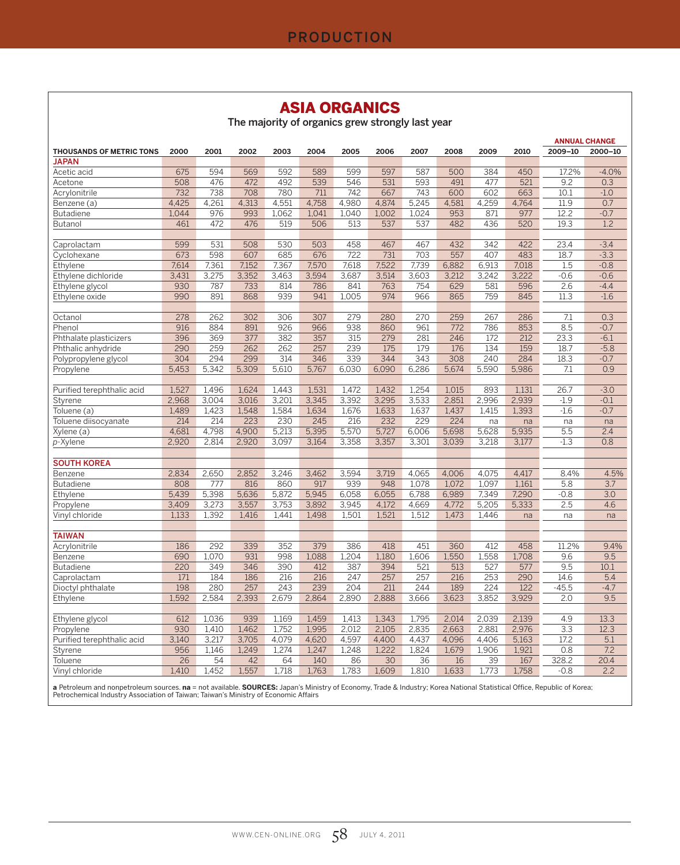## ASIA ORGANICS

The majority of organics grew strongly last year

|                                 |       |       |       |       |       |       |       |       |       |       |       | <b>ANNUAL CHANGE</b> |          |
|---------------------------------|-------|-------|-------|-------|-------|-------|-------|-------|-------|-------|-------|----------------------|----------|
| <b>THOUSANDS OF METRIC TONS</b> | 2000  | 2001  | 2002  | 2003  | 2004  | 2005  | 2006  | 2007  | 2008  | 2009  | 2010  | 2009-10              | 2000-10  |
| <b>JAPAN</b>                    |       |       |       |       |       |       |       |       |       |       |       |                      |          |
| Acetic acid                     | 675   | 594   | 569   | 592   | 589   | 599   | 597   | 587   | 500   | 384   | 450   | 17.2%                | $-4.0\%$ |
| Acetone                         | 508   | 476   | 472   | 492   | 539   | 546   | 531   | 593   | 491   | 477   | 521   | 9.2                  | 0.3      |
| Acrylonitrile                   | 732   | 738   | 708   | 780   | 711   | 742   | 667   | 743   | 600   | 602   | 663   | 10.1                 | $-1.0$   |
| Benzene (a)                     | 4,425 | 4,261 | 4,313 | 4,551 | 4,758 | 4,980 | 4,874 | 5,245 | 4,581 | 4,259 | 4,764 | 11.9                 | 0.7      |
| Butadiene                       | 1,044 | 976   | 993   | 1,062 | 1,041 | 1,040 | 1,002 | 1,024 | 953   | 871   | 977   | 12.2                 | $-0.7$   |
| Butanol                         | 461   | 472   | 476   | 519   | 506   | 513   | 537   | 537   | 482   | 436   | 520   | 19.3                 | 1.2      |
|                                 |       |       |       |       |       |       |       |       |       |       |       |                      |          |
| Caprolactam                     | 599   | 531   | 508   | 530   | 503   | 458   | 467   | 467   | 432   | 342   | 422   | 23.4                 | $-3.4$   |
| Cyclohexane                     | 673   | 598   | 607   | 685   | 676   | 722   | 731   | 703   | 557   | 407   | 483   | 18.7                 | $-3.3$   |
| Ethylene                        | 7,614 | 7,361 | 7,152 | 7,367 | 7,570 | 7,618 | 7,522 | 7,739 | 6,882 | 6.913 | 7,018 | 1.5                  | $-0.8$   |
| Ethylene dichloride             | 3,431 | 3,275 | 3,352 | 3,463 | 3,594 | 3,687 | 3,514 | 3,603 | 3,212 | 3,242 | 3,222 | $-0.6$               | $-0.6$   |
| Ethylene glycol                 | 930   | 787   | 733   | 814   | 786   | 841   | 763   | 754   | 629   | 581   | 596   | 2.6                  | $-4.4$   |
| Ethylene oxide                  | 990   | 891   | 868   | 939   | 941   | 1,005 | 974   | 966   | 865   | 759   | 845   | 11.3                 | $-1.6$   |
|                                 |       |       |       |       |       |       |       |       |       |       |       |                      |          |
| Octanol                         | 278   | 262   | 302   | 306   | 307   | 279   | 280   | 270   | 259   | 267   | 286   | 7.1                  | 0.3      |
| Phenol                          | 916   | 884   | 891   | 926   | 966   | 938   | 860   | 961   | 772   | 786   | 853   | 8.5                  | $-0.7$   |
|                                 |       |       |       |       |       |       |       |       |       |       |       |                      |          |
| Phthalate plasticizers          | 396   | 369   | 377   | 382   | 357   | 315   | 279   | 281   | 246   | 172   | 212   | 23.3                 | $-6.1$   |
| Phthalic anhydride              | 290   | 259   | 262   | 262   | 257   | 239   | 175   | 179   | 176   | 134   | 159   | 18.7                 | $-5.8$   |
| Polypropylene glycol            | 304   | 294   | 299   | 314   | 346   | 339   | 344   | 343   | 308   | 240   | 284   | 18.3                 | $-0.7$   |
| Propylene                       | 5,453 | 5,342 | 5,309 | 5,610 | 5,767 | 6,030 | 6,090 | 6,286 | 5,674 | 5,590 | 5,986 | 7.1                  | 0.9      |
|                                 |       |       |       |       |       |       |       |       |       |       |       |                      |          |
| Purified terephthalic acid      | 1,527 | 1,496 | 1,624 | 1,443 | 1,531 | 1,472 | 1,432 | 1,254 | 1.015 | 893   | 1,131 | 26.7                 | $-3.0$   |
| Styrene                         | 2,968 | 3,004 | 3,016 | 3,201 | 3,345 | 3,392 | 3,295 | 3,533 | 2,851 | 2,996 | 2,939 | $-1.9$               | $-0.1$   |
| Toluene (a)                     | 1,489 | 1,423 | 1,548 | 1,584 | 1,634 | 1,676 | 1,633 | 1,637 | 1,437 | 1,415 | 1,393 | $-1.6$               | $-0.7$   |
| Toluene diisocyanate            | 214   | 214   | 223   | 230   | 245   | 216   | 232   | 229   | 224   | na    | na    | na                   | na       |
| Xylene (a)                      | 4,681 | 4,798 | 4,900 | 5,213 | 5,395 | 5,570 | 5,727 | 6,006 | 5,698 | 5,628 | 5,935 | 5.5                  | 2.4      |
| p-Xylene                        | 2,920 | 2,814 | 2,920 | 3,097 | 3,164 | 3,358 | 3,357 | 3,301 | 3,039 | 3,218 | 3,177 | $-1.3$               | 0.8      |
|                                 |       |       |       |       |       |       |       |       |       |       |       |                      |          |
| <b>SOUTH KOREA</b>              |       |       |       |       |       |       |       |       |       |       |       |                      |          |
| Benzene                         | 2,834 | 2,650 | 2,852 | 3,246 | 3,462 | 3,594 | 3,719 | 4,065 | 4,006 | 4,075 | 4,417 | 8.4%                 | 4.5%     |
| <b>Butadiene</b>                | 808   | 777   | 816   | 860   | 917   | 939   | 948   | 1,078 | 1.072 | 1.097 | 1.161 | 5.8                  | 3.7      |
| Ethylene                        | 5,439 | 5,398 | 5,636 | 5,872 | 5,945 | 6,058 | 6,055 | 6,788 | 6,989 | 7,349 | 7,290 | $-0.8$               | 3.0      |
| Propylene                       | 3,409 | 3,273 | 3,557 | 3,753 | 3,892 | 3,945 | 4,172 | 4,669 | 4,772 | 5,205 | 5,333 | 2.5                  | 4.6      |
| Vinyl chloride                  | 1,133 | 1,392 | 1,416 | 1,441 | 1,498 | 1,501 | 1,521 | 1,512 | 1,473 | 1,446 | na    | na                   | na       |
|                                 |       |       |       |       |       |       |       |       |       |       |       |                      |          |
| <b>TAIWAN</b>                   |       |       |       |       |       |       |       |       |       |       |       |                      |          |
| Acrylonitrile                   | 186   | 292   | 339   | 352   | 379   | 386   | 418   | 451   | 360   | 412   | 458   | 11.2%                | 9.4%     |
| Benzene                         | 690   | 1.070 | 931   | 998   | 1,088 | 1,204 | 1,180 | 1,606 | 1,550 | 1,558 | 1.708 | 9.6                  | 9.5      |
| <b>Butadiene</b>                | 220   | 349   | 346   | 390   | 412   | 387   | 394   | 521   | 513   | 527   | 577   | 9.5                  | 10.1     |
| Caprolactam                     | 171   | 184   | 186   | 216   | 216   | 247   | 257   | 257   | 216   | 253   | 290   | 14.6                 | 5.4      |
| Dioctyl phthalate               | 198   | 280   | 257   | 243   | 239   | 204   | 211   | 244   | 189   | 224   | 122   | $-45.5$              | $-4.7$   |
| Ethylene                        | 1,592 | 2,584 | 2,393 | 2,679 | 2,864 | 2,890 | 2,888 | 3,666 | 3,623 | 3,852 | 3,929 | 2.0                  | 9.5      |
|                                 |       |       |       |       |       |       |       |       |       |       |       |                      |          |
| Ethylene glycol                 | 612   | 1,036 | 939   | 1,169 | 1,459 | 1,413 | 1,343 | 1,795 | 2,014 | 2,039 | 2,139 | 4.9                  | 13.3     |
| Propylene                       | 930   | 1,410 | 1,462 | 1,752 | 1,995 | 2,012 | 2,105 | 2,835 | 2,663 | 2,881 | 2,976 | 3.3                  | 12.3     |
| Purified terephthalic acid      | 3,140 | 3,217 | 3,705 | 4,079 | 4,620 | 4,597 | 4,400 | 4,437 | 4,096 | 4,406 | 5,163 | 17.2                 | 5.1      |
| Styrene                         | 956   | 1.146 | 1.249 | 1.274 | 1,247 | 1.248 | 1.222 | 1.824 | 1,679 | 1.906 | 1.921 | 0.8                  | 7.2      |
|                                 |       |       |       |       |       |       |       |       |       |       |       |                      |          |
| Toluene                         | 26    | 54    | 42    | 64    | 140   | 86    | 30    | 36    | 16    | 39    | 167   | 328.2                | 20.4     |
| Vinyl chloride                  | 1,410 | 1,452 | 1,557 | 1,718 | 1,763 | 1,783 | 1,609 | 1,810 | 1,633 | 1,773 | 1,758 | $-0.8$               | 2.2      |

**a** Petroleum and nonpetroleum sources. **na** = not available. **SOURCES:** Japan's Ministry of Economy, Trade & Industry; Korea National Statistical Office, Republic of Korea;<br>Petrochemical Industry Association of Taiwan; Ta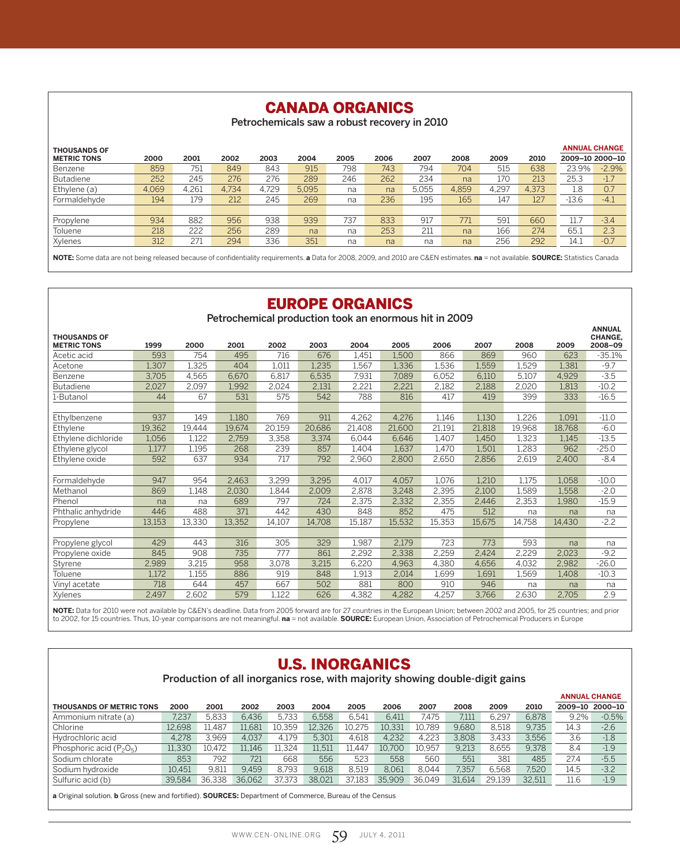## CANADA ORGANICS

Petrochemicals saw a robust recovery in 2010

| <b>THOUSANDS OF</b> |       |       |       |       |       |      |      |       |       |       |       | <b>ANNUAL CHANGE</b> |         |
|---------------------|-------|-------|-------|-------|-------|------|------|-------|-------|-------|-------|----------------------|---------|
| <b>METRIC TONS</b>  | 2000  | 2001  | 2002  | 2003  | 2004  | 2005 | 2006 | 2007  | 2008  | 2009  | 2010  | 2009-10 2000-10      |         |
| Benzene             | 859   | 751   | 849   | 843   | 915   | 798  | 743  | 794   | 704   | 515   | 638   | 23.9%                | $-2.9%$ |
| <b>Butadiene</b>    | 252   | 245   | 276   | 276   | 289   | 246  | 262  | 234   | na    | 17C   | 213   | 25.3                 | $-1.7$  |
| Ethylene (a)        | 4.069 | 4.261 | 4.734 | 4.729 | 5.095 | na   | na   | 5.055 | 4.859 | 4.297 | 4.373 | 1.8                  | 0.7     |
| Formaldehvde        | 194   | 179   | 212   | 245   | 269   | na   | 236  | 195   | 165   | 147   | 127   | $-13.6$              | $-4.1$  |
|                     |       |       |       |       |       |      |      |       |       |       |       |                      |         |
| Propylene           | 934   | 882   | 956   | 938   | 939   | 737  | 833  | 917   | 771   | 591   | 660   | 11.7                 | $-3.4$  |
| Toluene             | 218   | 222   | 256   | 289   | na    | na   | 253  | 211   | na    | 166   | 274   | 65.1                 | 2.3     |
| Xylenes             | 312   | 271   | 294   | 336   | 351   | na   | na   | na    | na    | 256   | 292   | 14.1                 | $-0.7$  |

**NOTE:** Some data are not being released because of confidentiality requirements. **a** Data for 2008, 2009, and 2010 are C&EN estimates. **na** = not available. **SOURCE:** Statistics Canada

## EUROPE ORGANICS

Petrochemical production took an enormous hit in 2009

|                                           |        |        |        |        |        |        |        |        |        |        |        | <b>ANNUAL</b>             |
|-------------------------------------------|--------|--------|--------|--------|--------|--------|--------|--------|--------|--------|--------|---------------------------|
| <b>THOUSANDS OF</b><br><b>METRIC TONS</b> | 1999   | 2000   | 2001   | 2002   | 2003   | 2004   | 2005   | 2006   | 2007   | 2008   | 2009   | <b>CHANGE.</b><br>2008-09 |
| Acetic acid                               | 593    | 754    | 495    | 716    | 676    | 1,451  | 1,500  | 866    | 869    | 960    | 623    | $-35.1%$                  |
| Acetone                                   | 1,307  | 1,325  | 404    | 1.011  | 1,235  | 1,567  | 1,336  | 1,536  | 1,559  | 1.529  | 1.381  | $-9.7$                    |
| Benzene                                   | 3,705  | 4,565  | 6,670  | 6,817  | 6,535  | 7,931  | 7,089  | 6,052  | 6.110  | 5,107  | 4,929  | $-3.5$                    |
| <b>Butadiene</b>                          | 2,027  | 2,097  | 1,992  | 2,024  | 2,131  | 2,221  | 2,221  | 2,182  | 2,188  | 2,020  | 1,813  | $-10.2$                   |
| 1-Butanol                                 | 44     | 67     | 531    | 575    | 542    | 788    | 816    | 417    | 419    | 399    | 333    | $-16.5$                   |
|                                           |        |        |        |        |        |        |        |        |        |        |        |                           |
| Ethylbenzene                              | 937    | 149    | 1.180  | 769    | 911    | 4,262  | 4,276  | 1,146  | 1.130  | 1.226  | 1.091  | $-11.0$                   |
| Ethylene                                  | 19,362 | 19,444 | 19,674 | 20,159 | 20,686 | 21,408 | 21,600 | 21,191 | 21,818 | 19,968 | 18,768 | $-6.0$                    |
| Ethylene dichloride                       | 1,056  | 1,122  | 2,759  | 3,358  | 3,374  | 6.044  | 6,646  | 1,407  | 1.450  | 1,323  | 1.145  | $-13.5$                   |
| Ethylene glycol                           | 1,177  | 1,195  | 268    | 239    | 857    | 1,404  | 1,637  | 1,470  | 1,501  | 1,283  | 962    | $-25.0$                   |
| Ethylene oxide                            | 592    | 637    | 934    | 717    | 792    | 2,960  | 2,800  | 2,650  | 2.856  | 2,619  | 2,400  | $-8.4$                    |
|                                           |        |        |        |        |        |        |        |        |        |        |        |                           |
| Formaldehyde                              | 947    | 954    | 2,463  | 3,299  | 3,295  | 4,017  | 4,057  | 1,076  | 1,210  | 1,175  | 1,058  | $-10.0$                   |
| Methanol                                  | 869    | 1,148  | 2,030  | 1.844  | 2,009  | 2,878  | 3,248  | 2,395  | 2,100  | 1,589  | 1,558  | $-2.0$                    |
| Phenol                                    | na     | na     | 689    | 797    | 724    | 2,375  | 2,332  | 2,355  | 2,446  | 2,353  | 1,980  | $-15.9$                   |
| Phthalic anhydride                        | 446    | 488    | 371    | 442    | 430    | 848    | 852    | 475    | 512    | na     | na     | na                        |
| Propylene                                 | 13,153 | 13,330 | 13,352 | 14,107 | 14,708 | 15,187 | 15,532 | 15,353 | 15,675 | 14,758 | 14,430 | $-2.2$                    |
|                                           |        |        |        |        |        |        |        |        |        |        |        |                           |
| Propylene glycol                          | 429    | 443    | 316    | 305    | 329    | 1,987  | 2,179  | 723    | 773    | 593    | na     | na                        |
| Propylene oxide                           | 845    | 908    | 735    | 777    | 861    | 2,292  | 2,338  | 2,259  | 2.424  | 2,229  | 2,023  | $-9.2$                    |
| Styrene                                   | 2,989  | 3,215  | 958    | 3,078  | 3,215  | 6,220  | 4,963  | 4,380  | 4,656  | 4,032  | 2,982  | $-26.0$                   |
| Toluene                                   | 1,172  | 1,155  | 886    | 919    | 848    | 1,913  | 2,014  | 1,699  | 1.691  | 1,569  | 1,408  | $-10.3$                   |
| Vinyl acetate                             | 718    | 644    | 457    | 667    | 502    | 881    | 800    | 910    | 946    | na     | na     | na                        |
| Xylenes                                   | 2.497  | 2,602  | 579    | 1,122  | 626    | 4.382  | 4,282  | 4,257  | 3,766  | 2,630  | 2,705  | 2.9                       |

**NOTE:** Data for 2010 were not available by C&EN's deadline. Data from 2005 forward are for 27 countries in the European Union; between 2002 and 2005, for 25 countries; and prior<br>to 2002, for 15 countries. Thus, 10-year co

## U.S. INORGANICS

Production of all inorganics rose, with majority showing double-digit gains

|                                 |        |        |        |        |        |        |        |        |        |        |        |         | <b>ANNUAL CHANGE</b> |
|---------------------------------|--------|--------|--------|--------|--------|--------|--------|--------|--------|--------|--------|---------|----------------------|
| <b>THOUSANDS OF METRIC TONS</b> | 2000   | 2001   | 2002   | 2003   | 2004   | 2005   | 2006   | 2007   | 2008   | 2009   | 2010   | 2009-10 | 2000-10              |
| Ammonium nitrate (a)            | 7.237  | 5.833  | 6.436  | 5.733  | 6.558  | 6.541  | 6.411  | 7.475  | 7.111  | 6.297  | 6.878  | 9.2%    | $-0.5%$              |
| Chlorine                        | 12.698 | .487   | 11.681 | 10.359 | 12.326 | 10.275 | 10.331 | 10.789 | 9.680  | 8.518  | 9.735  | 14.3    | $-2.6$               |
| Hydrochloric acid               | 4.278  | 3.969  | 4.037  | 4.179  | 5.301  | 4.618  | 4.232  | 4.223  | 3.808  | 3.433  | 3,556  | 3.6     | $-1.8$               |
| Phosphoric acid $(P_2O_5)$      | 11.330 | 10.472 | 11.146 | 11.324 | 11.511 | 11.447 | 10.700 | 10.957 | 9.213  | 8.655  | 9.378  | 8.4     | $-1.9$               |
| Sodium chlorate                 | 853    | 792    | 721    | 668    | 556    | 523    | 558    | 560    | 551    | 381    | 485    | 27.4    | $-5.5$               |
| Sodium hydroxide                | 10.451 | 9.811  | 9.459  | 8.793  | 9.618  | 8.519  | 8.061  | 8.044  | 7.357  | 6.568  | 7.520  | 14.5    | $-3.2$               |
| Sulfuric acid (b)               | 39.584 | 36.338 | 36.062 | 37.373 | 38.021 | 37.183 | 35.909 | 36.049 | 31.614 | 29.139 | 32.511 | 11.6    | $-1.9$               |
|                                 |        |        |        |        |        |        |        |        |        |        |        |         |                      |

**a** Original solution. **b** Gross (new and fortified). **SOURCES:** Department of Commerce, Bureau of the Census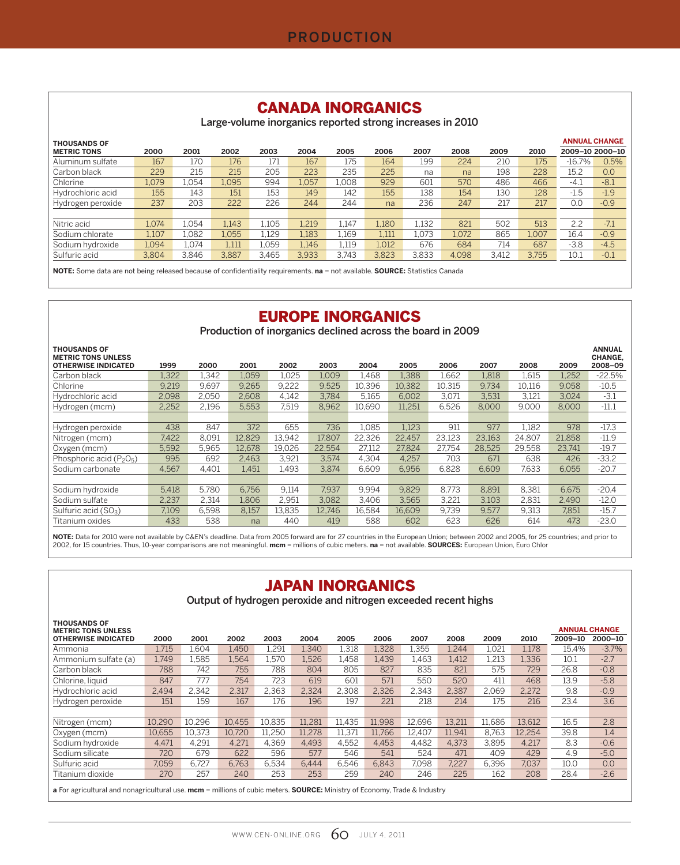#### CANADA INORGANICS

Large-volume inorganics reported strong increases in 2010

| <b>THOUSANDS OF</b> |       |       |       |       |       |       |       |       |       |       |       | <b>ANNUAL CHANGE</b> |        |
|---------------------|-------|-------|-------|-------|-------|-------|-------|-------|-------|-------|-------|----------------------|--------|
| <b>METRIC TONS</b>  | 2000  | 2001  | 2002  | 2003  | 2004  | 2005  | 2006  | 2007  | 2008  | 2009  | 2010  | 2009-10 2000-10      |        |
| Aluminum sulfate    | 167   | 170   | 176   | 171   | 167   | 175   | 164   | 199   | 224   | 210   | 175   | $-16.7%$             | 0.5%   |
| Carbon black        | 229   | 215   | 215   | 205   | 223   | 235   | 225   | na    | na    | 198   | 228   | 15.2                 | 0.0    |
| Chlorine            | 1.079 | 1.054 | 1.095 | 994   | 1.057 | 1.008 | 929   | 601   | 570   | 486   | 466   | $-4.1$               | $-8.1$ |
| Hydrochloric acid   | 155   | 143   | 151   | 153   | 149   | 142   | 155   | 138   | 154   | 130   | 128   | $-1.5$               | $-1.9$ |
| Hydrogen peroxide   | 237   | 203   | 222   | 226   | 244   | 244   | na    | 236   | 247   | 217   | 217   | 0.0                  | $-0.9$ |
|                     |       |       |       |       |       |       |       |       |       |       |       |                      |        |
| Nitric acid         | 1.074 | 1.054 | 1.143 | 1,105 | 1,219 | 1,147 | 1.180 | 1,132 | 821   | 502   | 513   | 2.2                  | $-7.1$ |
| Sodium chlorate     | 1,107 | 1.082 | 1.055 | 1,129 | 1,183 | 1,169 | 1,111 | 1.073 | 1.072 | 865   | 1.007 | 16.4                 | $-0.9$ |
| Sodium hydroxide    | 1.094 | 1.074 | 1.111 | l.059 | 1.146 | 1,119 | 1.012 | 676   | 684   | 714   | 687   | $-3.8$               | $-4.5$ |
| Sulfuric acid       | 3.804 | 3.846 | 3.887 | 3.465 | 3.933 | 3.743 | 3.823 | 3.833 | 4.098 | 3.412 | 3.755 | 10.1                 | $-0.1$ |

**NOTE:** Some data are not being released because of confidentiality requirements. **na** = not available. **SOURCE:** Statistics Canada

#### EUROPE INORGANICS

Production of inorganics declined across the board in 2009

| <b>THOUSANDS OF</b><br><b>METRIC TONS UNLESS</b> |       |       |        |        |        |        |        |        |        |        |        | <b>ANNUAL</b><br>CHANGE, |
|--------------------------------------------------|-------|-------|--------|--------|--------|--------|--------|--------|--------|--------|--------|--------------------------|
| <b>OTHERWISE INDICATED</b>                       | 1999  | 2000  | 2001   | 2002   | 2003   | 2004   | 2005   | 2006   | 2007   | 2008   | 2009   | 2008-09                  |
| Carbon black                                     | 1,322 | 1,342 | 1.059  | 1,025  | 1.009  | 1.468  | 1,388  | 1,662  | 1,818  | 1,615  | 1.252  | $-22.5%$                 |
| Chlorine                                         | 9,219 | 9,697 | 9,265  | 9,222  | 9,525  | 10,396 | 10,382 | 10,315 | 9,734  | 10,116 | 9,058  | $-10.5$                  |
| Hydrochloric acid                                | 2.098 | 2.050 | 2.608  | 4,142  | 3.784  | 5,165  | 6.002  | 3.071  | 3.531  | 3,121  | 3.024  | $-3.1$                   |
| Hydrogen (mcm)                                   | 2,252 | 2.196 | 5.553  | 7.519  | 8.962  | 10.690 | 11.251 | 6.526  | 8.000  | 9.000  | 8.000  | $-11.1$                  |
|                                                  |       |       |        |        |        |        |        |        |        |        |        |                          |
| Hydrogen peroxide                                | 438   | 847   | 372    | 655    | 736    | 1,085  | 1,123  | 911    | 977    | 1.182  | 978    | $-17.3$                  |
| Nitrogen (mcm)                                   | 7,422 | 8,091 | 12.829 | 13,942 | 17.807 | 22,326 | 22.457 | 23.123 | 23.163 | 24,807 | 21,858 | $-11.9$                  |
| Oxygen (mcm)                                     | 5.592 | 5.965 | 12.678 | 19.026 | 22.554 | 27.112 | 27.824 | 27.754 | 28.525 | 29.558 | 23.741 | $-19.7$                  |
| Phosphoric acid $(P_2O_5)$                       | 995   | 692   | 2.463  | 3,921  | 3.574  | 4.304  | 4.257  | 703    | 671    | 638    | 426    | $-33.2$                  |
| Sodium carbonate                                 | 4.567 | 4.401 | 1.451  | 1.493  | 3.874  | 6.609  | 6.956  | 6.828  | 6.609  | 7.633  | 6.055  | $-20.7$                  |
|                                                  |       |       |        |        |        |        |        |        |        |        |        |                          |
| Sodium hydroxide                                 | 5.418 | 5.780 | 6.756  | 9,114  | 7.937  | 9,994  | 9.829  | 8.773  | 8,891  | 8,381  | 6,675  | $-20.4$                  |
| Sodium sulfate                                   | 2.237 | 2.314 | 1.806  | 2.951  | 3.082  | 3.406  | 3.565  | 3,221  | 3.103  | 2.831  | 2.490  | $-12.0$                  |
| Sulfuric acid $(SO_3)$                           | 7,109 | 6,598 | 8,157  | 13,835 | 12.746 | 16,584 | 16,609 | 9.739  | 9,577  | 9,313  | 7,851  | $-15.7$                  |
| Titanium oxides                                  | 433   | 538   | na     | 440    | 419    | 588    | 602    | 623    | 626    | 614    | 473    | $-23.0$                  |

**NOTE:** Data for 2010 were not available by C&EN's deadline. Data from 2005 forward are for 27 countries in the European Union; between 2002 and 2005, for 25 countries; and prior to<br>2002, for 15 countries. Thus, 10-year co

## JAPAN INORGANICS

Output of hydrogen peroxide and nitrogen exceeded recent highs

| <b>THOUSANDS OF</b><br><b>METRIC TONS UNLESS</b> |        |        |        |        |        |        |        |        |        |        |        |         | <b>ANNUAL CHANGE</b> |
|--------------------------------------------------|--------|--------|--------|--------|--------|--------|--------|--------|--------|--------|--------|---------|----------------------|
| <b>OTHERWISE INDICATED</b>                       | 2000   | 2001   | 2002   | 2003   | 2004   | 2005   | 2006   | 2007   | 2008   | 2009   | 2010   | 2009-10 | 2000-10              |
| Ammonia                                          | 1.715  | 1,604  | 1.450  | 1,291  | 1.340  | 1,318  | 1,328  | 1.355  | 1,244  | 1.021  | 1,178  | 15.4%   | $-3.7%$              |
| Ammonium sulfate (a)                             | 1.749  | 1.585  | 1.564  | l.570  | 1.526  | 1.458  | 1.439  | 1.463  | 1,412  | l.213  | 1.336  | 10.1    | $-2.7$               |
| Carbon black                                     | 788    | 742    | 755    | 788    | 804    | 805    | 827    | 835    | 821    | 575    | 729    | 26.8    | $-0.8$               |
| Chlorine, liquid                                 | 847    | 777    | 754    | 723    | 619    | 601    | 571    | 550    | 520    | 411    | 468    | 13.9    | $-5.8$               |
| Hydrochloric acid                                | 2.494  | 2.342  | 2.317  | 2,363  | 2.324  | 2.308  | 2.326  | 2.343  | 2,387  | 2.069  | 2.272  | 9.8     | $-0.9$               |
| Hydrogen peroxide                                | 151    | 159    | 167    | 176    | 196    | 197    | 221    | 218    | 214    | 175    | 216    | 23.4    | 3.6                  |
|                                                  |        |        |        |        |        |        |        |        |        |        |        |         |                      |
| Nitrogen (mcm)                                   | 10.290 | 10.296 | 10.455 | 10.835 | 11.281 | 11.435 | 11.998 | 12.696 | 13.211 | 11.686 | 13.612 | 16.5    | 2.8                  |
| Oxygen (mcm)                                     | 10.655 | 10.373 | 10.720 | 11.250 | 11.278 | 11,371 | 11.766 | 12.407 | 11.941 | 8.763  | 12.254 | 39.8    | 1.4                  |
| Sodium hydroxide                                 | 4.471  | 4.291  | 4.271  | 4.369  | 4.493  | 4.552  | 4.453  | 4.482  | 4.373  | 3.895  | 4.217  | 8.3     | $-0.6$               |
| Sodium silicate                                  | 720    | 679    | 622    | 596    | 577    | 546    | 541    | 524    | 471    | 409    | 429    | 4.9     | $-5.0$               |
| Sulfuric acid                                    | 7.059  | 6.727  | 6.763  | 6.534  | 6.444  | 6.546  | 6.843  | 7.098  | 7.227  | 6.396  | 7.037  | 10.0    | 0.0                  |
| Titanium dioxide                                 | 270    | 257    | 240    | 253    | 253    | 259    | 240    | 246    | 225    | 162    | 208    | 28.4    | $-2.6$               |
|                                                  |        |        |        |        |        |        |        |        |        |        |        |         |                      |

**a** For agricultural and nonagricultural use. **mcm** = millions of cubic meters. **SOURCE:** Ministry of Economy, Trade & Industry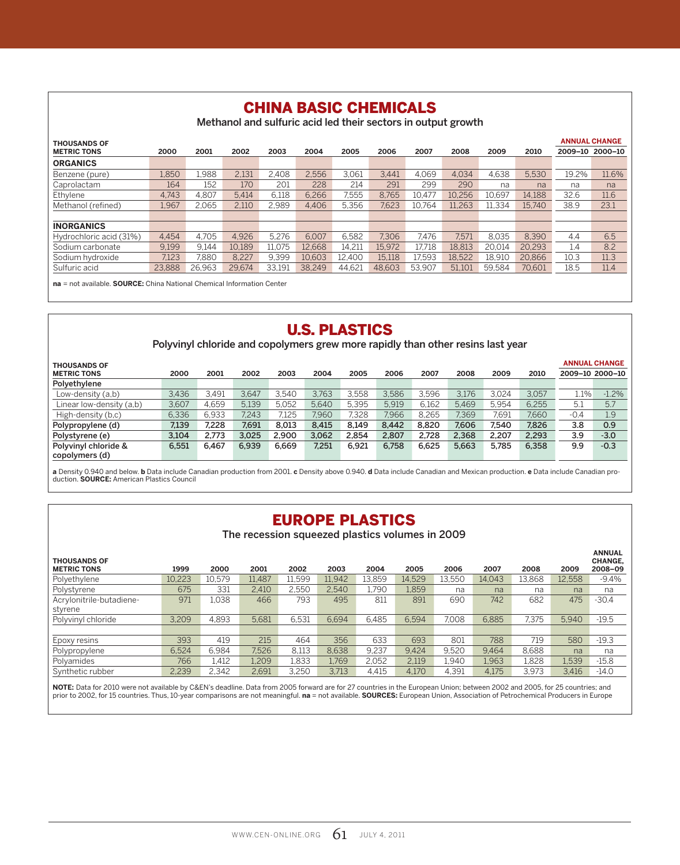## CHINA BASIC CHEMICALS

Methanol and sulfuric acid led their sectors in output growth

| <b>THOUSANDS OF</b>     |        |        |        |        |        |        |        |        |        |        |        |       | <b>ANNUAL CHANGE</b> |
|-------------------------|--------|--------|--------|--------|--------|--------|--------|--------|--------|--------|--------|-------|----------------------|
| <b>METRIC TONS</b>      | 2000   | 2001   | 2002   | 2003   | 2004   | 2005   | 2006   | 2007   | 2008   | 2009   | 2010   |       | 2009-10 2000-10      |
| <b>ORGANICS</b>         |        |        |        |        |        |        |        |        |        |        |        |       |                      |
| Benzene (pure)          | 1.850  | 1.988  | 2.131  | 2.408  | 2.556  | 3.061  | 3.441  | 4.069  | 4.034  | 4.638  | 5.530  | 19.2% | 11.6%                |
| Caprolactam             | 164    | 152    | 170    | 201    | 228    | 214    | 291    | 299    | 290    | na     | na     | na    | na                   |
| Ethylene                | 4.743  | 4.807  | 5.414  | 6,118  | 6.266  | 7.555  | 8.765  | 10.477 | 10,256 | 10.697 | 14.188 | 32.6  | 11.6                 |
| Methanol (refined)      | 1.967  | 2.065  | 2.110  | 2.989  | 4.406  | 5.356  | 7.623  | 10.764 | 11.263 | 11.334 | 15.740 | 38.9  | 23.1                 |
|                         |        |        |        |        |        |        |        |        |        |        |        |       |                      |
| <b>INORGANICS</b>       |        |        |        |        |        |        |        |        |        |        |        |       |                      |
| Hydrochloric acid (31%) | 4.454  | 4.705  | 4.926  | 5.276  | 6.007  | 6.582  | 7.306  | 7.476  | 7.571  | 8.035  | 8.390  | 4.4   | 6.5                  |
| Sodium carbonate        | 9.199  | 9,144  | 10.189 | 11.075 | 12.668 | 14.211 | 15.972 | 17.718 | 18.813 | 20.014 | 20.293 | 1.4   | 8.2                  |
| Sodium hydroxide        | 7.123  | 7.880  | 8.227  | 9.399  | 10.603 | 12.400 | 15.118 | 17.593 | 18.522 | 18.910 | 20,866 | 10.3  | 11.3                 |
| Sulfuric acid           | 23.888 | 26.963 | 29.674 | 33.191 | 38.249 | 44.621 | 48.603 | 53.907 | 51.101 | 59.584 | 70.601 | 18.5  | 11.4                 |
|                         |        |        |        |        |        |        |        |        |        |        |        |       |                      |

**na** = not available. **SOURCE:** China National Chemical Information Center

#### U.S. PLASTICS

Polyvinyl chloride and copolymers grew more rapidly than other resins last year

| <b>THOUSANDS OF</b>      |       |       |       |       |       |       |       |       |       |       |       |                 | <b>ANNUAL CHANGE</b> |
|--------------------------|-------|-------|-------|-------|-------|-------|-------|-------|-------|-------|-------|-----------------|----------------------|
| <b>METRIC TONS</b>       | 2000  | 2001  | 2002  | 2003  | 2004  | 2005  | 2006  | 2007  | 2008  | 2009  | 2010  | 2009-10 2000-10 |                      |
| Polyethylene             |       |       |       |       |       |       |       |       |       |       |       |                 |                      |
| Low-density (a.b)        | 3.436 | 3.491 | 3.647 | 3.540 | 3.763 | 3.558 | 3.586 | 3.596 | 3.176 | 3.024 | 3.057 | 1.1%            | $-1.2%$              |
| Linear low-density (a,b) | 3,607 | 4.659 | 5,139 | 5.052 | 5.640 | 5.395 | 5.919 | 6.162 | 5.469 | 5.954 | 6.255 | 5.1             | 5.7                  |
| High-density (b,c)       | 6.336 | 6.933 | 7.243 | 7.125 | 7.960 | 7.328 | 7.966 | 8.265 | 7.369 | 7.691 | 7.660 | $-0.4$          | 1.9                  |
| Polypropylene (d)        | 7,139 | 7.228 | 7.691 | 8.013 | 8.415 | 8.149 | 8.442 | 8.820 | 7.606 | 7.540 | 7,826 | 3.8             | 0.9                  |
| Polystyrene (e)          | 3.104 | 2.773 | 3.025 | 2.900 | 3.062 | 2.854 | 2.807 | 2.728 | 2.368 | 2.207 | 2.293 | 3.9             | $-3.0$               |
| Polyvinyl chloride &     | 6.551 | 6.467 | 6.939 | 6.669 | 7,251 | 6.921 | 6.758 | 6.625 | 5.663 | 5.785 | 6,358 | 9.9             | $-0.3$               |
| copolymers (d)           |       |       |       |       |       |       |       |       |       |       |       |                 |                      |

**a** Density 0.940 and below. **b** Data include Canadian production from 2001. **c** Density above 0.940. **d** Data include Canadian and Mexican production. **e** Data include Canadian production. **SOURCE:** American Plastics Council

## EUROPE PLASTICS

The recession squeezed plastics volumes in 2009

| <b>THOUSANDS OF</b>      |        |        |        |        |        |        |        |        |        |        |        | <b>ANNUAL</b><br><b>CHANGE.</b> |
|--------------------------|--------|--------|--------|--------|--------|--------|--------|--------|--------|--------|--------|---------------------------------|
| <b>METRIC TONS</b>       | 1999   | 2000   | 2001   | 2002   | 2003   | 2004   | 2005   | 2006   | 2007   | 2008   | 2009   | 2008-09                         |
| Polyethylene             | 10,223 | 10.579 | 11.487 | 11.599 | 11.942 | 13.859 | 14.529 | 13.550 | 14.043 | 13.868 | 12,558 | $-9.4%$                         |
| Polystyrene              | 675    | 331    | 2.410  | 2.550  | 2.540  | 1.790  | 1.859  | na     | na     | na     | na     | na                              |
| Acrylonitrile-butadiene- | 971    | 1.038  | 466    | 793    | 495    | 811    | 891    | 690    | 742    | 682    | 475    | $-30.4$                         |
| styrene                  |        |        |        |        |        |        |        |        |        |        |        |                                 |
| Polyvinyl chloride       | 3.209  | 4.893  | 5,681  | 6.531  | 6.694  | 6.485  | 6.594  | 7.008  | 6.885  | 7.375  | 5.940  | $-19.5$                         |
|                          |        |        |        |        |        |        |        |        |        |        |        |                                 |
| Epoxy resins             | 393    | 419    | 215    | 464    | 356    | 633    | 693    | 801    | 788    | 719    | 580    | $-19.3$                         |
| Polypropylene            | 6.524  | 6.984  | 7.526  | 8.113  | 8.638  | 9.237  | 9.424  | 9.520  | 9.464  | 8.688  | na     | na                              |
| Polyamides               | 766    | 1.412  | 1.209  | 1.833  | 1.769  | 2.052  | 2.119  | 1,940  | 1.963  | 1.828  | 1,539  | $-15.8$                         |
| Synthetic rubber         | 2.239  | 2.342  | 2.691  | 3.250  | 3.713  | 4.415  | 4.170  | 4,391  | 4.175  | 3,973  | 3,416  | $-14.0$                         |

**NOTE:** Data for 2010 were not available by C&EN's deadline. Data from 2005 forward are for 27 countries in the European Union; between 2002 and 2005, for 25 countries; and<br>prior to 2002, for 15 countries. Thus, 10-year co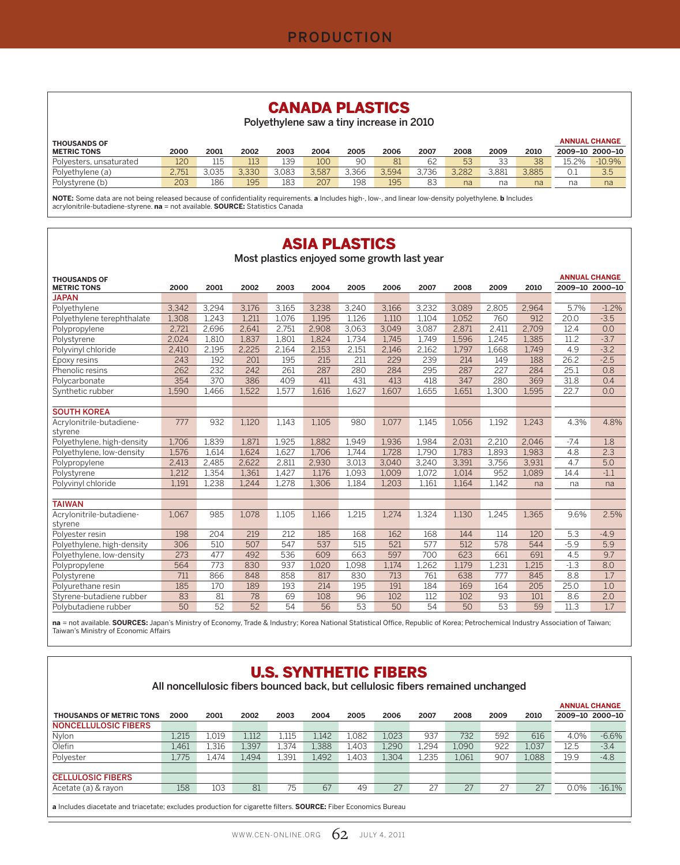#### CANADA PLASTICS

Polyethylene saw a tiny increase in 2010

**ANNUAL CHANGE**

| <b>THOUSANDS OF</b>     |       |       |       |       |       |       |       |       |       |       |       |       | <b>ANNUAL CHANGE</b> |
|-------------------------|-------|-------|-------|-------|-------|-------|-------|-------|-------|-------|-------|-------|----------------------|
| <b>METRIC TONS</b>      | 2000  | 2001  | 2002  | 2003  | 2004  | 2005  | 2006  | 2007  | 2008  | 2009  | 2010  |       | 2009-10 2000-10      |
| Polvesters, unsaturated | 120   | 115   | 113   | 139   | 100   | 90    |       | 62    | 53    | ささ    | 38    | 15.2% | $-10.9%$             |
| Polyethylene (a)        | 2.751 | 3.035 | 3.330 | 3.083 | 3.587 | 3.366 | 3.594 | 3.736 | 3.282 | 3.881 | 3.885 | 0.1   | 3.5                  |
| Polystyrene (b)         | 203   | 186   | 195   | 183   | 207   | 198   | 195   | 83    | na    | na    | na    | na    | na                   |

**NOTE:** Some data are not being released because of confidentiality requirements. **a** Includes high-, low-, and linear low-density polyethylene. **b** Includes acrylonitrile-butadiene-styrene. **na** = not available. **SOURCE:** Statistics Canada

#### ASIA PLASTICS

Most plastics enjoyed some growth last year

| <b>THOUSANDS OF</b>                 |       |       |       |       |       |       |       |       |       |       |       |        | <b>ANNUAL CHANGE</b> |
|-------------------------------------|-------|-------|-------|-------|-------|-------|-------|-------|-------|-------|-------|--------|----------------------|
| <b>METRIC TONS</b>                  | 2000  | 2001  | 2002  | 2003  | 2004  | 2005  | 2006  | 2007  | 2008  | 2009  | 2010  |        | 2009-10 2000-10      |
| <b>JAPAN</b>                        |       |       |       |       |       |       |       |       |       |       |       |        |                      |
| Polyethylene                        | 3.342 | 3.294 | 3.176 | 3.165 | 3,238 | 3,240 | 3.166 | 3,232 | 3.089 | 2,805 | 2,964 | 5.7%   | $-1.2%$              |
| Polyethylene terephthalate          | 1,308 | 1.243 | 1.211 | 1,076 | 1,195 | 1.126 | 1.110 | 1.104 | 1.052 | 760   | 912   | 20.0   | $-3.5$               |
| Polypropylene                       | 2,721 | 2,696 | 2,641 | 2,751 | 2,908 | 3,063 | 3.049 | 3.087 | 2,871 | 2,411 | 2.709 | 12.4   | 0.0                  |
| Polystyrene                         | 2.024 | 1.810 | 1.837 | 1.801 | 1.824 | 1.734 | 1.745 | 1.749 | 1,596 | 1.245 | 1.385 | 11.2   | $-3.7$               |
| Polyvinyl chloride                  | 2,410 | 2,195 | 2,225 | 2,164 | 2,153 | 2,151 | 2,146 | 2,162 | 1,797 | 1.668 | 1.749 | 4.9    | $-3.2$               |
| Epoxy resins                        | 243   | 192   | 201   | 195   | 215   | 211   | 229   | 239   | 214   | 149   | 188   | 26.2   | $-2.5$               |
| Phenolic resins                     | 262   | 232   | 242   | 261   | 287   | 280   | 284   | 295   | 287   | 227   | 284   | 25.1   | 0.8                  |
| Polycarbonate                       | 354   | 370   | 386   | 409   | 411   | 431   | 413   | 418   | 347   | 280   | 369   | 31.8   | 0.4                  |
| Synthetic rubber                    | 1,590 | 1,466 | 1.522 | 1.577 | 1.616 | 1.627 | 1.607 | 1.655 | 1.651 | 1.300 | 1.595 | 22.7   | 0.0                  |
|                                     |       |       |       |       |       |       |       |       |       |       |       |        |                      |
| <b>SOUTH KOREA</b>                  |       |       |       |       |       |       |       |       |       |       |       |        |                      |
| Acrylonitrile-butadiene-<br>styrene | 777   | 932   | 1,120 | 1,143 | 1.105 | 980   | 1.077 | 1,145 | 1,056 | 1,192 | 1,243 | 4.3%   | 4.8%                 |
| Polyethylene, high-density          | 1.706 | 1.839 | 1.871 | 1.925 | 1.882 | 1.949 | 1.936 | 1,984 | 2.031 | 2.210 | 2.046 | $-7.4$ | 1.8                  |
| Polyethylene, low-density           | 1,576 | 1,614 | 1.624 | 1,627 | 1,706 | 1.744 | 1.728 | 1.790 | 1,783 | 1.893 | 1,983 | 4.8    | 2.3                  |
| Polypropylene                       | 2,413 | 2,485 | 2.622 | 2,811 | 2,930 | 3,013 | 3.040 | 3,240 | 3,391 | 3,756 | 3,931 | 4.7    | 5.0                  |
| Polystyrene                         | 1,212 | 1,354 | 1,361 | 1.427 | 1,176 | 1,093 | 1.009 | 1,072 | 1,014 | 952   | 1,089 | 14.4   | $-1.1$               |
| Polyvinyl chloride                  | 1,191 | 1,238 | 1.244 | 1,278 | 1,306 | 1,184 | 1,203 | 1,161 | 1.164 | 1,142 | na    | na     | na                   |
|                                     |       |       |       |       |       |       |       |       |       |       |       |        |                      |
| <b>TAIWAN</b>                       |       |       |       |       |       |       |       |       |       |       |       |        |                      |
| Acrylonitrile-butadiene-<br>styrene | 1.067 | 985   | 1.078 | 1,105 | 1.166 | 1,215 | 1.274 | 1,324 | 1.130 | 1.245 | 1.365 | 9.6%   | 2.5%                 |
| Polyester resin                     | 198   | 204   | 219   | 212   | 185   | 168   | 162   | 168   | 144   | 114   | 120   | 5.3    | $-4.9$               |
| Polyethylene, high-density          | 306   | 510   | 507   | 547   | 537   | 515   | 521   | 577   | 512   | 578   | 544   | $-5.9$ | 5.9                  |
| Polyethylene, low-density           | 273   | 477   | 492   | 536   | 609   | 663   | 597   | 700   | 623   | 661   | 691   | 4.5    | 9.7                  |
| Polypropylene                       | 564   | 773   | 830   | 937   | 1.020 | 1,098 | 1,174 | 1,262 | 1.179 | 1,231 | 1.215 | $-1.3$ | 8.0                  |
| Polystyrene                         | 711   | 866   | 848   | 858   | 817   | 830   | 713   | 761   | 638   | 777   | 845   | 8.8    | 1.7                  |
| Polyurethane resin                  | 185   | 170   | 189   | 193   | 214   | 195   | 191   | 184   | 169   | 164   | 205   | 25.0   | 1.0                  |
| Styrene-butadiene rubber            | 83    | 81    | 78    | 69    | 108   | 96    | 102   | 112   | 102   | 93    | 101   | 8.6    | 2.0                  |
| Polybutadiene rubber                | 50    | 52    | 52    | 54    | 56    | 53    | 50    | 54    | 50    | 53    | 59    | 11.3   | 1.7                  |

**na** = not available. **SOURCES:** Japan's Ministry of Economy, Trade & Industry; Korea National Statistical Office, Republic of Korea; Petrochemical Industry Association of Taiwan; Taiwan's Ministry of Economic Affairs

#### U.S. SYNTHETIC FIBERS

All noncellulosic fibers bounced back, but cellulosic fibers remained unchanged

|                                 |       |       |       |                   |       |       |       |       |       |        |       |         | <b>ANNUAL CHANGE</b> |
|---------------------------------|-------|-------|-------|-------------------|-------|-------|-------|-------|-------|--------|-------|---------|----------------------|
| <b>THOUSANDS OF METRIC TONS</b> | 2000  | 2001  | 2002  | 2003              | 2004  | 2005  | 2006  | 2007  | 2008  | 2009   | 2010  |         | 2009-10 2000-10      |
| <b>NONCELLULOSIC FIBERS</b>     |       |       |       |                   |       |       |       |       |       |        |       |         |                      |
| Nylon                           | 1,215 | 1,019 | 1.112 | 1.115             | .142  | 1.082 | 1.023 | 937   | 732   | 592    | 616   | 4.0%    | $-6.6%$              |
| Olefin                          | 1.461 | 1.316 | 1,397 | 1,374             | 1.388 | 1,403 | 1.290 | 1,294 | 1.090 | 922    | 1,037 | 12.5    | $-3.4$               |
| Polyester                       | 1.775 | 1.474 | 1.494 | 1,39 <sup>1</sup> | 1.492 | 1.403 | 1.304 | 1,235 | 1.061 | 907    | 1,088 | 19.9    | $-4.8$               |
|                                 |       |       |       |                   |       |       |       |       |       |        |       |         |                      |
| <b>CELLULOSIC FIBERS</b>        |       |       |       |                   |       |       |       |       |       |        |       |         |                      |
| Acetate (a) & rayon             | 158   | 103   | 81    | 75                | 67    | 49    | 27    | 27    | 27    | $\cap$ | 27    | $0.0\%$ | $-16.1%$             |
|                                 |       |       |       |                   |       |       |       |       |       |        |       |         |                      |

**a** Includes diacetate and triacetate; excludes production for cigarette filters. **SOURCE:** Fiber Economics Bureau